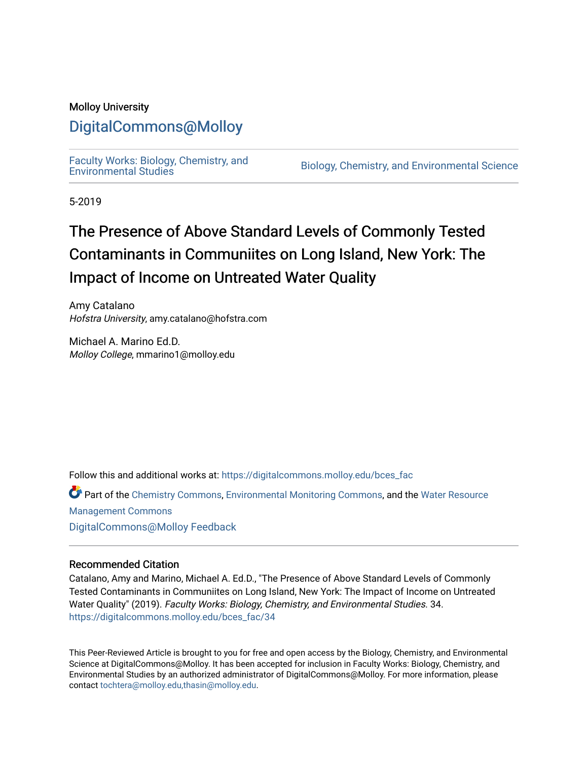## Molloy University

## [DigitalCommons@Molloy](https://digitalcommons.molloy.edu/)

[Faculty Works: Biology, Chemistry, and](https://digitalcommons.molloy.edu/bces_fac) 

Biology, Chemistry, and Environmental Science

5-2019

# The Presence of Above Standard Levels of Commonly Tested Contaminants in Communiites on Long Island, New York: The Impact of Income on Untreated Water Quality

Amy Catalano Hofstra University, amy.catalano@hofstra.com

Michael A. Marino Ed.D. Molloy College, mmarino1@molloy.edu

Follow this and additional works at: [https://digitalcommons.molloy.edu/bces\\_fac](https://digitalcommons.molloy.edu/bces_fac?utm_source=digitalcommons.molloy.edu%2Fbces_fac%2F34&utm_medium=PDF&utm_campaign=PDFCoverPages)

Part of the [Chemistry Commons,](https://network.bepress.com/hgg/discipline/131?utm_source=digitalcommons.molloy.edu%2Fbces_fac%2F34&utm_medium=PDF&utm_campaign=PDFCoverPages) [Environmental Monitoring Commons](https://network.bepress.com/hgg/discipline/931?utm_source=digitalcommons.molloy.edu%2Fbces_fac%2F34&utm_medium=PDF&utm_campaign=PDFCoverPages), and the [Water Resource](https://network.bepress.com/hgg/discipline/1057?utm_source=digitalcommons.molloy.edu%2Fbces_fac%2F34&utm_medium=PDF&utm_campaign=PDFCoverPages)  [Management Commons](https://network.bepress.com/hgg/discipline/1057?utm_source=digitalcommons.molloy.edu%2Fbces_fac%2F34&utm_medium=PDF&utm_campaign=PDFCoverPages) [DigitalCommons@Molloy Feedback](https://molloy.libwizard.com/f/dcfeedback)

### Recommended Citation

Catalano, Amy and Marino, Michael A. Ed.D., "The Presence of Above Standard Levels of Commonly Tested Contaminants in Communiites on Long Island, New York: The Impact of Income on Untreated Water Quality" (2019). Faculty Works: Biology, Chemistry, and Environmental Studies. 34. [https://digitalcommons.molloy.edu/bces\\_fac/34](https://digitalcommons.molloy.edu/bces_fac/34?utm_source=digitalcommons.molloy.edu%2Fbces_fac%2F34&utm_medium=PDF&utm_campaign=PDFCoverPages) 

This Peer-Reviewed Article is brought to you for free and open access by the Biology, Chemistry, and Environmental Science at DigitalCommons@Molloy. It has been accepted for inclusion in Faculty Works: Biology, Chemistry, and Environmental Studies by an authorized administrator of DigitalCommons@Molloy. For more information, please contact [tochtera@molloy.edu,thasin@molloy.edu.](mailto:tochtera@molloy.edu,thasin@molloy.edu)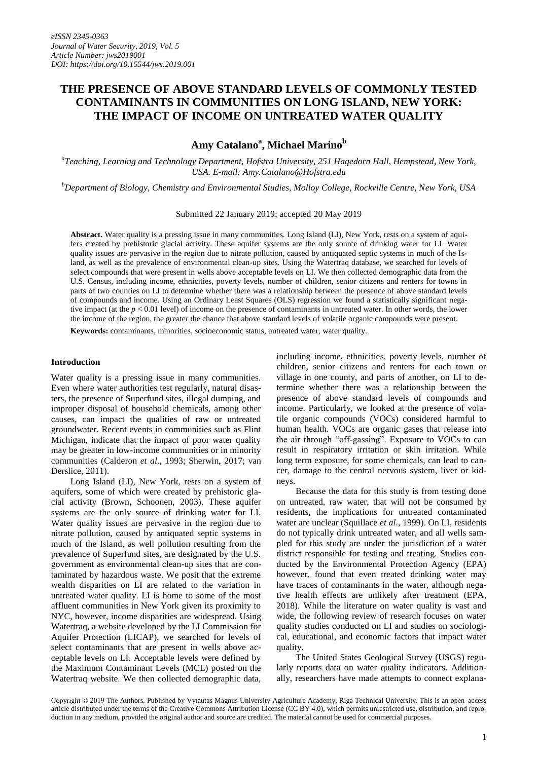## **THE PRESENCE OF ABOVE STANDARD LEVELS OF COMMONLY TESTED CONTAMINANTS IN COMMUNITIES ON LONG ISLAND, NEW YORK: THE IMPACT OF INCOME ON UNTREATED WATER QUALITY**

**Amy Catalano<sup>a</sup> , Michael Marino<sup>b</sup>**

*a Teaching, Learning and Technology Department, Hofstra University, 251 Hagedorn Hall, Hempstead, New York, USA. E-mail: Amy.Catalano@Hofstra.edu*

*<sup>b</sup>Department of Biology, Chemistry and Environmental Studies, Molloy College, Rockville Centre, New York, USA* 

Submitted 22 January 2019; accepted 20 May 2019

**Abstract.** Water quality is a pressing issue in many communities. Long Island (LI), New York, rests on a system of aquifers created by prehistoric glacial activity. These aquifer systems are the only source of drinking water for LI. Water quality issues are pervasive in the region due to nitrate pollution, caused by antiquated septic systems in much of the Island, as well as the prevalence of environmental clean-up sites. Using the Watertraq database, we searched for levels of select compounds that were present in wells above acceptable levels on LI. We then collected demographic data from the U.S. Census, including income, ethnicities, poverty levels, number of children, senior citizens and renters for towns in parts of two counties on LI to determine whether there was a relationship between the presence of above standard levels of compounds and income. Using an Ordinary Least Squares (OLS) regression we found a statistically significant negative impact (at the  $p < 0.01$  level) of income on the presence of contaminants in untreated water. In other words, the lower the income of the region, the greater the chance that above standard levels of volatile organic compounds were present.

**Keywords:** contaminants, minorities, socioeconomic status, untreated water, water quality.

#### **Introduction**

Water quality is a pressing issue in many communities. Even where water authorities test regularly, natural disasters, the presence of Superfund sites, illegal dumping, and improper disposal of household chemicals, among other causes, can impact the qualities of raw or untreated groundwater. Recent events in communities such as Flint Michigan, indicate that the impact of poor water quality may be greater in low-income communities or in minority communities (Calderon *et al*., 1993; Sherwin, 2017; van Derslice, 2011).

Long Island (LI), New York, rests on a system of aquifers, some of which were created by prehistoric glacial activity (Brown, Schoonen, 2003). These aquifer systems are the only source of drinking water for LI. Water quality issues are pervasive in the region due to nitrate pollution, caused by antiquated septic systems in much of the Island, as well pollution resulting from the prevalence of Superfund sites, are designated by the U.S. government as environmental clean-up sites that are contaminated by hazardous waste. We posit that the extreme wealth disparities on LI are related to the variation in untreated water quality. LI is home to some of the most affluent communities in New York given its proximity to NYC, however, income disparities are widespread. Using Watertraq, a website developed by the LI Commission for Aquifer Protection (LICAP), we searched for levels of select contaminants that are present in wells above acceptable levels on LI. Acceptable levels were defined by the Maximum Contaminant Levels (MCL) posted on the Watertraq website. We then collected demographic data,

including income, ethnicities, poverty levels, number of children, senior citizens and renters for each town or village in one county, and parts of another, on LI to determine whether there was a relationship between the presence of above standard levels of compounds and income. Particularly, we looked at the presence of volatile organic compounds (VOCs) considered harmful to human health. VOCs are organic gases that release into the air through "off-gassing". Exposure to VOCs to can result in respiratory irritation or skin irritation. While long term exposure, for some chemicals, can lead to cancer, damage to the central nervous system, liver or kidneys.

Because the data for this study is from testing done on untreated, raw water, that will not be consumed by residents, the implications for untreated contaminated water are unclear (Squillace *et al*., 1999). On LI, residents do not typically drink untreated water, and all wells sampled for this study are under the jurisdiction of a water district responsible for testing and treating. Studies conducted by the Environmental Protection Agency (EPA) however, found that even treated drinking water may have traces of contaminants in the water, although negative health effects are unlikely after treatment (EPA, 2018). While the literature on water quality is vast and wide, the following review of research focuses on water quality studies conducted on LI and studies on sociological, educational, and economic factors that impact water quality.

The United States Geological Survey (USGS) regularly reports data on water quality indicators. Additionally, researchers have made attempts to connect explana-

Copyright © 2019 The Authors. Published by Vytautas Magnus University Agriculture Academy, Riga Technical University. This is an open–access article distributed under the terms of the Creative Commons Attribution License (CC BY 4.0), which permits unrestricted use, distribution, and reproduction in any medium, provided the original author and source are credited. The material cannot be used for commercial purposes.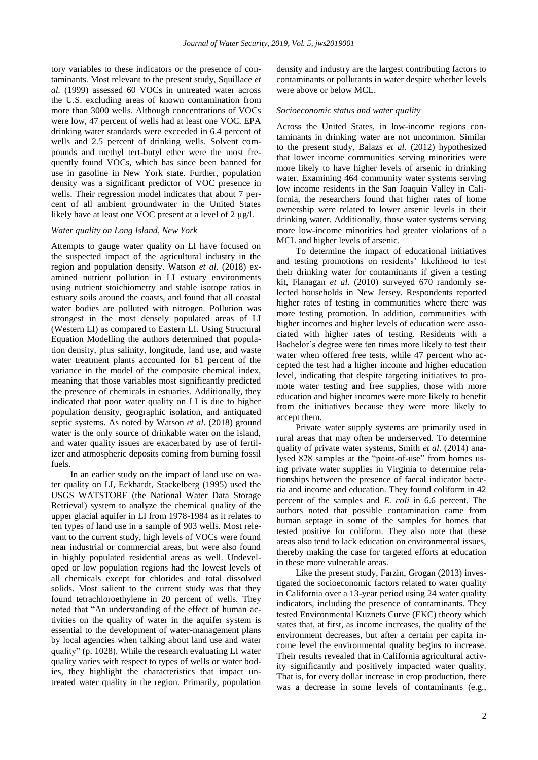tory variables to these indicators or the presence of contaminants. Most relevant to the present study, Squillace *et al.* (1999) assessed 60 VOCs in untreated water across the U.S. excluding areas of known contamination from more than 3000 wells. Although concentrations of VOCs were low, 47 percent of wells had at least one VOC. EPA drinking water standards were exceeded in 6.4 percent of wells and 2.5 percent of drinking wells. Solvent compounds and methyl tert-butyl ether were the most frequently found VOCs, which has since been banned for use in gasoline in New York state. Further, population density was a significant predictor of VOC presence in wells. Their regression model indicates that about 7 percent of all ambient groundwater in the United States likely have at least one VOC present at a level of 2 µg/l.

#### *Water quality on Long Island, New York*

Attempts to gauge water quality on LI have focused on the suspected impact of the agricultural industry in the region and population density. Watson *et al*. (2018) examined nutrient pollution in LI estuary environments using nutrient stoichiometry and stable isotope ratios in estuary soils around the coasts, and found that all coastal water bodies are polluted with nitrogen. Pollution was strongest in the most densely populated areas of LI (Western LI) as compared to Eastern LI. Using Structural Equation Modelling the authors determined that population density, plus salinity, longitude, land use, and waste water treatment plants accounted for 61 percent of the variance in the model of the composite chemical index, meaning that those variables most significantly predicted the presence of chemicals in estuaries. Additionally, they indicated that poor water quality on LI is due to higher population density, geographic isolation, and antiquated septic systems. As noted by Watson *et al*. (2018) ground water is the only source of drinkable water on the island, and water quality issues are exacerbated by use of fertilizer and atmospheric deposits coming from burning fossil fuels.

In an earlier study on the impact of land use on water quality on LI, Eckhardt, Stackelberg (1995) used the USGS WATSTORE (the National Water Data Storage Retrieval) system to analyze the chemical quality of the upper glacial aquifer in LI from 1978-1984 as it relates to ten types of land use in a sample of 903 wells. Most relevant to the current study, high levels of VOCs were found near industrial or commercial areas, but were also found in highly populated residential areas as well. Undeveloped or low population regions had the lowest levels of all chemicals except for chlorides and total dissolved solids. Most salient to the current study was that they found tetrachloroethylene in 20 percent of wells. They noted that "An understanding of the effect of human activities on the quality of water in the aquifer system is essential to the development of water-management plans by local agencies when talking about land use and water quality" (p. 1028). While the research evaluating LI water quality varies with respect to types of wells or water bodies, they highlight the characteristics that impact untreated water quality in the region. Primarily, population

density and industry are the largest contributing factors to contaminants or pollutants in water despite whether levels were above or below MCL.

#### *Socioeconomic status and water quality*

Across the United States, in low-income regions contaminants in drinking water are not uncommon. Similar to the present study, Balazs *et al*. (2012) hypothesized that lower income communities serving minorities were more likely to have higher levels of arsenic in drinking water. Examining 464 community water systems serving low income residents in the San Joaquin Valley in California, the researchers found that higher rates of home ownership were related to lower arsenic levels in their drinking water. Additionally, those water systems serving more low-income minorities had greater violations of a MCL and higher levels of arsenic.

To determine the impact of educational initiatives and testing promotions on residents' likelihood to test their drinking water for contaminants if given a testing kit, Flanagan *et al*. (2010) surveyed 670 randomly selected households in New Jersey. Respondents reported higher rates of testing in communities where there was more testing promotion. In addition, communities with higher incomes and higher levels of education were associated with higher rates of testing. Residents with a Bachelor's degree were ten times more likely to test their water when offered free tests, while 47 percent who accepted the test had a higher income and higher education level, indicating that despite targeting initiatives to promote water testing and free supplies, those with more education and higher incomes were more likely to benefit from the initiatives because they were more likely to accept them.

Private water supply systems are primarily used in rural areas that may often be underserved. To determine quality of private water systems, Smith *et al*. (2014) analysed 828 samples at the "point-of-use" from homes using private water supplies in Virginia to determine relationships between the presence of faecal indicator bacteria and income and education. They found coliform in 42 percent of the samples and *E. coli* in 6.6 percent. The authors noted that possible contamination came from human septage in some of the samples for homes that tested positive for coliform. They also note that these areas also tend to lack education on environmental issues, thereby making the case for targeted efforts at education in these more vulnerable areas.

Like the present study, Farzin, Grogan (2013) investigated the socioeconomic factors related to water quality in California over a 13-year period using 24 water quality indicators, including the presence of contaminants. They tested Environmental Kuznets Curve (EKC) theory which states that, at first, as income increases, the quality of the environment decreases, but after a certain per capita income level the environmental quality begins to increase. Their results revealed that in California agricultural activity significantly and positively impacted water quality. That is, for every dollar increase in crop production, there was a decrease in some levels of contaminants (e.g.,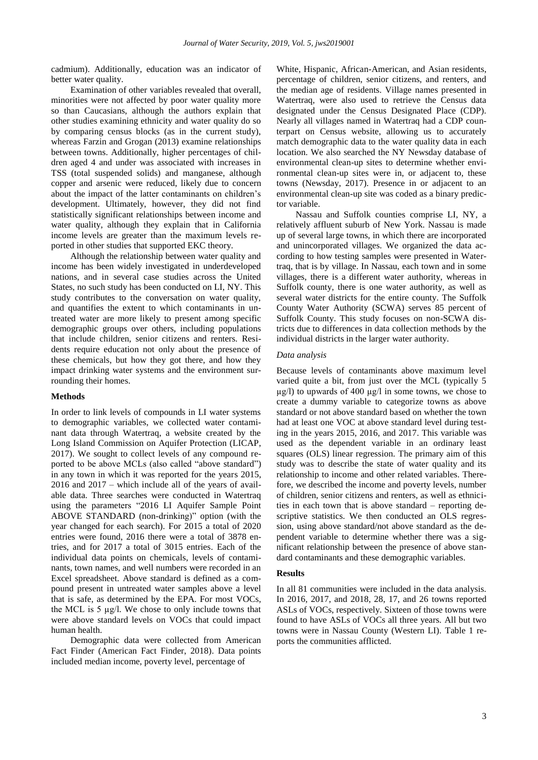cadmium). Additionally, education was an indicator of better water quality.

Examination of other variables revealed that overall, minorities were not affected by poor water quality more so than Caucasians, although the authors explain that other studies examining ethnicity and water quality do so by comparing census blocks (as in the current study), whereas Farzin and Grogan (2013) examine relationships between towns. Additionally, higher percentages of children aged 4 and under was associated with increases in TSS (total suspended solids) and manganese, although copper and arsenic were reduced, likely due to concern about the impact of the latter contaminants on children's development. Ultimately, however, they did not find statistically significant relationships between income and water quality, although they explain that in California income levels are greater than the maximum levels reported in other studies that supported EKC theory.

Although the relationship between water quality and income has been widely investigated in underdeveloped nations, and in several case studies across the United States, no such study has been conducted on LI, NY. This study contributes to the conversation on water quality, and quantifies the extent to which contaminants in untreated water are more likely to present among specific demographic groups over others, including populations that include children, senior citizens and renters. Residents require education not only about the presence of these chemicals, but how they got there, and how they impact drinking water systems and the environment surrounding their homes.

#### **Methods**

In order to link levels of compounds in LI water systems to demographic variables, we collected water contaminant data through Watertraq, a website created by the Long Island Commission on Aquifer Protection (LICAP, 2017). We sought to collect levels of any compound reported to be above MCLs (also called "above standard") in any town in which it was reported for the years 2015, 2016 and 2017 – which include all of the years of available data. Three searches were conducted in Watertraq using the parameters "2016 LI Aquifer Sample Point ABOVE STANDARD (non-drinking)" option (with the year changed for each search). For 2015 a total of 2020 entries were found, 2016 there were a total of 3878 entries, and for 2017 a total of 3015 entries. Each of the individual data points on chemicals, levels of contaminants, town names, and well numbers were recorded in an Excel spreadsheet. Above standard is defined as a compound present in untreated water samples above a level that is safe, as determined by the EPA. For most VOCs, the MCL is 5 µg/l. We chose to only include towns that were above standard levels on VOCs that could impact human health.

Demographic data were collected from American Fact Finder (American Fact Finder, 2018). Data points included median income, poverty level, percentage of

White, Hispanic, African-American, and Asian residents, percentage of children, senior citizens, and renters, and the median age of residents. Village names presented in Watertraq, were also used to retrieve the Census data designated under the Census Designated Place (CDP). Nearly all villages named in Watertraq had a CDP counterpart on Census website, allowing us to accurately match demographic data to the water quality data in each location. We also searched the NY Newsday database of environmental clean-up sites to determine whether environmental clean-up sites were in, or adjacent to, these towns (Newsday, 2017). Presence in or adjacent to an environmental clean-up site was coded as a binary predictor variable.

Nassau and Suffolk counties comprise LI, NY, a relatively affluent suburb of New York. Nassau is made up of several large towns, in which there are incorporated and unincorporated villages. We organized the data according to how testing samples were presented in Watertraq, that is by village. In Nassau, each town and in some villages, there is a different water authority, whereas in Suffolk county, there is one water authority, as well as several water districts for the entire county. The Suffolk County Water Authority (SCWA) serves 85 percent of Suffolk County. This study focuses on non-SCWA districts due to differences in data collection methods by the individual districts in the larger water authority.

#### *Data analysis*

Because levels of contaminants above maximum level varied quite a bit, from just over the MCL (typically 5  $\mu$ g/l) to upwards of 400  $\mu$ g/l in some towns, we chose to create a dummy variable to categorize towns as above standard or not above standard based on whether the town had at least one VOC at above standard level during testing in the years 2015, 2016, and 2017. This variable was used as the dependent variable in an ordinary least squares (OLS) linear regression. The primary aim of this study was to describe the state of water quality and its relationship to income and other related variables. Therefore, we described the income and poverty levels, number of children, senior citizens and renters, as well as ethnicities in each town that is above standard – reporting descriptive statistics. We then conducted an OLS regression, using above standard/not above standard as the dependent variable to determine whether there was a significant relationship between the presence of above standard contaminants and these demographic variables.

#### **Results**

In all 81 communities were included in the data analysis. In 2016, 2017, and 2018, 28, 17, and 26 towns reported ASLs of VOCs, respectively. Sixteen of those towns were found to have ASLs of VOCs all three years. All but two towns were in Nassau County (Western LI). Table 1 reports the communities afflicted.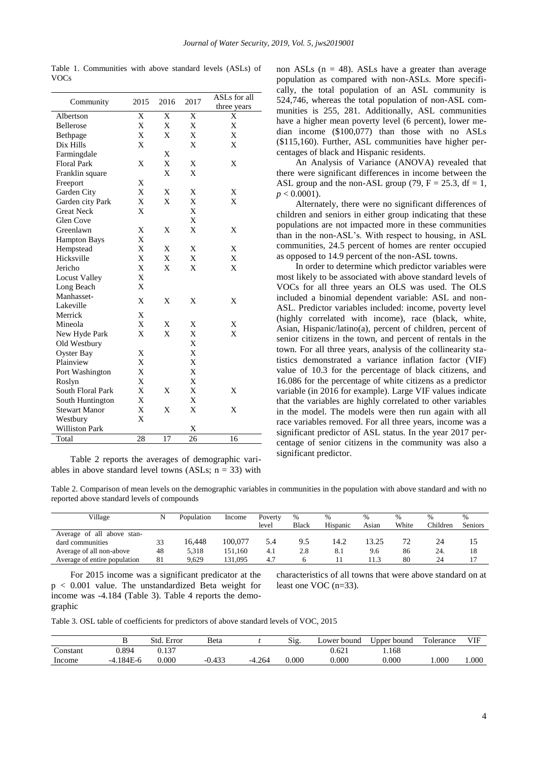| Community             | 2015 | 2016 | 2017 | ASLs for all<br>three years |
|-----------------------|------|------|------|-----------------------------|
| Albertson             | X    | X    | X    | X                           |
| <b>Bellerose</b>      | X    | X    | X    | X                           |
| Bethpage              | X    | X    | X    | X                           |
| Dix Hills             | X    |      | X    | X                           |
| Farmingdale           |      | X    |      |                             |
| <b>Floral Park</b>    | X    | X    | X    | X                           |
| Franklin square       |      | X    | X    |                             |
| Freeport              | X    |      |      |                             |
| Garden City           | X    | X    | X    | X                           |
| Garden city Park      | X    | X    | X    | X                           |
| <b>Great Neck</b>     | X    |      | X    |                             |
| <b>Glen Cove</b>      |      |      | X    |                             |
| Greenlawn             | X    | X    | X    | X                           |
| <b>Hampton Bays</b>   | X    |      |      |                             |
| Hempstead             | X    | X    | X    | X                           |
| Hicksville            | X    | X    | X    | X                           |
| Jericho               | X    | X    | X    | X                           |
| <b>Locust Valley</b>  | X    |      |      |                             |
| Long Beach            | X    |      |      |                             |
| Manhasset-            | X    | X    | X    | X                           |
| Lakeville             |      |      |      |                             |
| Merrick               | X    |      |      |                             |
| Mineola               | X    | X    | X    | X                           |
| New Hyde Park         | X    | X    | X    | X                           |
| Old Westbury          |      |      | X    |                             |
| <b>Oyster Bay</b>     | X    |      | X    |                             |
| Plainview             | X    |      | X    |                             |
| Port Washington       | X    |      | X    |                             |
| Roslyn                | X    |      | X    |                             |
| South Floral Park     | X    | X    | X    | X                           |
| South Huntington      | X    |      | X    |                             |
| <b>Stewart Manor</b>  | X    | X    | X    | X                           |
| Westbury              | X    |      |      |                             |
| <b>Williston Park</b> |      |      | X    |                             |
| Total                 | 28   | 17   | 26   | 16                          |

Table 1. Communities with above standard levels (ASLs) of VOCs

Table 2 reports the averages of demographic variables in above standard level towns (ASLs;  $n = 33$ ) with non ASLs ( $n = 48$ ). ASLs have a greater than average population as compared with non-ASLs. More specifically, the total population of an ASL community is 524,746, whereas the total population of non-ASL communities is 255, 281. Additionally, ASL communities have a higher mean poverty level (6 percent), lower median income (\$100,077) than those with no ASLs (\$115,160). Further, ASL communities have higher percentages of black and Hispanic residents.

An Analysis of Variance (ANOVA) revealed that there were significant differences in income between the ASL group and the non-ASL group (79,  $F = 25.3$ , df = 1,  $p < 0.0001$ ).

Alternately, there were no significant differences of children and seniors in either group indicating that these populations are not impacted more in these communities than in the non-ASL's. With respect to housing, in ASL communities, 24.5 percent of homes are renter occupied as opposed to 14.9 percent of the non-ASL towns.

In order to determine which predictor variables were most likely to be associated with above standard levels of VOCs for all three years an OLS was used. The OLS included a binomial dependent variable: ASL and non-ASL. Predictor variables included: income, poverty level (highly correlated with income), race (black, white, Asian, Hispanic/latino(a), percent of children, percent of senior citizens in the town, and percent of rentals in the town. For all three years, analysis of the collinearity statistics demonstrated a variance inflation factor (VIF) value of 10.3 for the percentage of black citizens, and 16.086 for the percentage of white citizens as a predictor variable (in 2016 for example). Large VIF values indicate that the variables are highly correlated to other variables in the model. The models were then run again with all race variables removed. For all three years, income was a significant predictor of ASL status. In the year 2017 percentage of senior citizens in the community was also a significant predictor.

Table 2. Comparison of mean levels on the demographic variables in communities in the population with above standard and with no reported above standard levels of compounds

| Village                      | N  | Population | Income  | Poverty | %     | $\%$     | %     | %     | %        | $\%$    |
|------------------------------|----|------------|---------|---------|-------|----------|-------|-------|----------|---------|
|                              |    |            |         | level   | Black | Hispanic | Asian | White | Children | Seniors |
| Average of all above stan-   |    |            |         |         |       |          |       |       |          |         |
| dard communities             | 33 | 16.448     | 100.077 | 5.4     | 9.5   | 14.2     | 13.25 |       | 24       | 10      |
| Average of all non-above     | 48 | 5.318      | 151.160 | 4.1     | 2.8   | 8.1      | 9.6   | 86    | 24.      | 18      |
| Average of entire population | 81 | 9.629      | 131.095 | 4.7     |       |          |       | 80    | 24       |         |

For 2015 income was a significant predicator at the p < 0.001 value. The unstandardized Beta weight for income was -4.184 (Table 3). Table 4 reports the demographic

characteristics of all towns that were above standard on at least one VOC (n=33).

Table 3. OSL table of coefficients for predictors of above standard levels of VOC, 2015

|          |              | Error<br>Std. | <b>B</b> eta |          | Sig   | Lower bound | Upper bound | Tolerance | VIF  |
|----------|--------------|---------------|--------------|----------|-------|-------------|-------------|-----------|------|
| Constant | .894         | 0.137         |              |          |       | 0.621       | .168        |           |      |
| Income   | 184E-6<br>-4 | $0.000\,$     | 0.433        | $-4.264$ | 0.000 | 0.000       | 0.000       | .000      | .000 |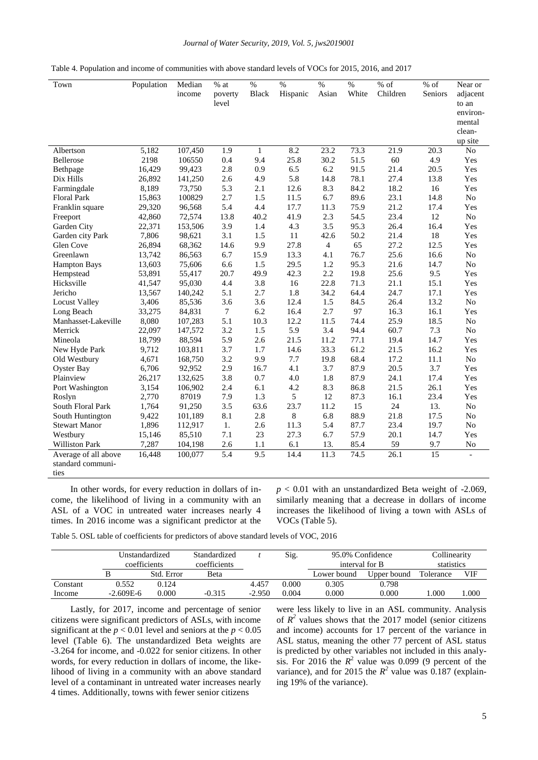#### *Journal of Water Security, 2019, Vol. 5, jws2019001*

| Table 4. Population and income of communities with above standard levels of VOCs for 2015, 2016, and 2017 |  |  |  |  |
|-----------------------------------------------------------------------------------------------------------|--|--|--|--|
|-----------------------------------------------------------------------------------------------------------|--|--|--|--|

| Town                 | Population | Median  | $%$ at  | $\%$         | $\frac{0}{0}$ | $\frac{0}{0}$  | $\%$  | $%$ of   | $%$ of          | Near or           |
|----------------------|------------|---------|---------|--------------|---------------|----------------|-------|----------|-----------------|-------------------|
|                      |            | income  | poverty | <b>Black</b> | Hispanic      | Asian          | White | Children | Seniors         | adjacent          |
|                      |            |         | level   |              |               |                |       |          |                 | to an<br>environ- |
|                      |            |         |         |              |               |                |       |          |                 | mental            |
|                      |            |         |         |              |               |                |       |          |                 | clean-            |
|                      |            |         |         |              |               |                |       |          |                 | up site           |
| Albertson            | 5,182      | 107,450 | 1.9     | $\mathbf{1}$ | 8.2           | 23.2           | 73.3  | 21.9     | 20.3            | No                |
| Bellerose            | 2198       | 106550  | 0.4     | 9.4          | 25.8          | 30.2           | 51.5  | 60       | 4.9             | Yes               |
| Bethpage             | 16,429     | 99,423  | 2.8     | 0.9          | 6.5           | 6.2            | 91.5  | 21.4     | 20.5            | Yes               |
| Dix Hills            | 26,892     | 141,250 | 2.6     | 4.9          | 5.8           | 14.8           | 78.1  | 27.4     | 13.8            | Yes               |
| Farmingdale          | 8,189      | 73,750  | 5.3     | 2.1          | 12.6          | 8.3            | 84.2  | 18.2     | 16              | Yes               |
| <b>Floral Park</b>   | 15,863     | 100829  | 2.7     | 1.5          | 11.5          | 6.7            | 89.6  | 23.1     | 14.8            | No                |
| Franklin square      | 29,320     | 96,568  | 5.4     | 4.4          | 17.7          | 11.3           | 75.9  | 21.2     | 17.4            | Yes               |
| Freeport             | 42,860     | 72,574  | 13.8    | 40.2         | 41.9          | 2.3            | 54.5  | 23.4     | 12              | No                |
| Garden City          | 22,371     | 153,506 | 3.9     | 1.4          | 4.3           | 3.5            | 95.3  | 26.4     | 16.4            | Yes               |
| Garden city Park     | 7,806      | 98,621  | 3.1     | 1.5          | 11            | 42.6           | 50.2  | 21.4     | 18              | Yes               |
| Glen Cove            | 26,894     | 68,362  | 14.6    | 9.9          | 27.8          | $\overline{4}$ | 65    | 27.2     | 12.5            | Yes               |
| Greenlawn            | 13,742     | 86,563  | 6.7     | 15.9         | 13.3          | 4.1            | 76.7  | 25.6     | 16.6            | N <sub>0</sub>    |
| <b>Hampton Bays</b>  | 13,603     | 75,606  | 6.6     | 1.5          | 29.5          | 1.2            | 95.3  | 21.6     | 14.7            | No                |
| Hempstead            | 53,891     | 55,417  | 20.7    | 49.9         | 42.3          | 2.2            | 19.8  | 25.6     | 9.5             | Yes               |
| Hicksville           | 41,547     | 95,030  | 4.4     | 3.8          | 16            | 22.8           | 71.3  | 21.1     | 15.1            | Yes               |
| Jericho              | 13,567     | 140,242 | 5.1     | 2.7          | 1.8           | 34.2           | 64.4  | 24.7     | 17.1            | Yes               |
| <b>Locust Valley</b> | 3,406      | 85,536  | 3.6     | 3.6          | 12.4          | 1.5            | 84.5  | 26.4     | 13.2            | No                |
| Long Beach           | 33,275     | 84,831  | $\tau$  | 6.2          | 16.4          | 2.7            | 97    | 16.3     | 16.1            | Yes               |
| Manhasset-Lakeville  | 8,080      | 107,283 | 5.1     | 10.3         | 12.2          | 11.5           | 74.4  | 25.9     | 18.5            | No                |
| Merrick              | 22,097     | 147,572 | 3.2     | 1.5          | 5.9           | 3.4            | 94.4  | 60.7     | 7.3             | N <sub>0</sub>    |
| Mineola              | 18,799     | 88,594  | 5.9     | 2.6          | 21.5          | 11.2           | 77.1  | 19.4     | 14.7            | Yes               |
| New Hyde Park        | 9,712      | 103,811 | 3.7     | 1.7          | 14.6          | 33.3           | 61.2  | 21.5     | 16.2            | Yes               |
| Old Westbury         | 4,671      | 168,750 | 3.2     | 9.9          | 7.7           | 19.8           | 68.4  | 17.2     | 11.1            | No                |
| <b>Oyster Bay</b>    | 6,706      | 92,952  | 2.9     | 16.7         | 4.1           | 3.7            | 87.9  | 20.5     | 3.7             | Yes               |
| Plainview            | 26,217     | 132,625 | 3.8     | 0.7          | 4.0           | 1.8            | 87.9  | 24.1     | 17.4            | Yes               |
| Port Washington      | 3,154      | 106,902 | 2.4     | 6.1          | 4.2           | 8.3            | 86.8  | 21.5     | 26.1            | Yes               |
| Roslyn               | 2,770      | 87019   | 7.9     | 1.3          | 5             | 12             | 87.3  | 16.1     | 23.4            | Yes               |
| South Floral Park    | 1,764      | 91,250  | 3.5     | 63.6         | 23.7          | 11.2           | 15    | 24       | 13.             | N <sub>0</sub>    |
| South Huntington     | 9,422      | 101,189 | 8.1     | 2.8          | 8             | 6.8            | 88.9  | 21.8     | 17.5            | N <sub>0</sub>    |
| <b>Stewart Manor</b> | 1,896      | 112,917 | 1.      | 2.6          | 11.3          | 5.4            | 87.7  | 23.4     | 19.7            | N <sub>0</sub>    |
| Westbury             | 15,146     | 85,510  | 7.1     | 23           | 27.3          | 6.7            | 57.9  | 20.1     | 14.7            | Yes               |
| Williston Park       | 7,287      | 104,198 | 2.6     | 1.1          | 6.1           | 13.            | 85.4  | 59       | 9.7             | No                |
| Average of all above | 16,448     | 100,077 | 5.4     | 9.5          | 14.4          | 11.3           | 74.5  | 26.1     | $\overline{15}$ |                   |
| standard communi-    |            |         |         |              |               |                |       |          |                 |                   |
| ties                 |            |         |         |              |               |                |       |          |                 |                   |

In other words, for every reduction in dollars of income, the likelihood of living in a community with an ASL of a VOC in untreated water increases nearly 4 times. In 2016 income was a significant predictor at the  $p < 0.01$  with an unstandardized Beta weight of  $-2.069$ , similarly meaning that a decrease in dollars of income increases the likelihood of living a town with ASLs of VOCs (Table 5).

Table 5. OSL table of coefficients for predictors of above standard levels of VOC, 2016

|          | Unstandardized<br>coefficients |            | Standardized<br>coefficients |          | Sig.  | 95.0% Confidence<br>interval for B |             | Collinearity<br>statistics |      |
|----------|--------------------------------|------------|------------------------------|----------|-------|------------------------------------|-------------|----------------------------|------|
|          |                                | Std. Error | Beta                         |          |       | Lower bound                        | Upper bound | Tolerance                  | VIF  |
| Constant | 0.552                          | 0.124      |                              | 4.457    | 0.000 | 0.305                              | 0.798       |                            |      |
| Income   | $-2.609E-6$                    | 0.000      | $-0.315$                     | $-2.950$ | 0.004 | 0.000                              | 0.000       | .000                       | 000. |

Lastly, for 2017, income and percentage of senior citizens were significant predictors of ASLs, with income significant at the  $p < 0.01$  level and seniors at the  $p < 0.05$ level (Table 6). The unstandardized Beta weights are -3.264 for income, and -0.022 for senior citizens. In other words, for every reduction in dollars of income, the likelihood of living in a community with an above standard level of a contaminant in untreated water increases nearly 4 times. Additionally, towns with fewer senior citizens

were less likely to live in an ASL community. Analysis of  $R^2$  values shows that the 2017 model (senior citizens and income) accounts for 17 percent of the variance in ASL status, meaning the other 77 percent of ASL status is predicted by other variables not included in this analysis. For 2016 the  $R^2$  value was 0.099 (9 percent of the variance), and for 2015 the  $R^2$  value was 0.187 (explaining 19% of the variance).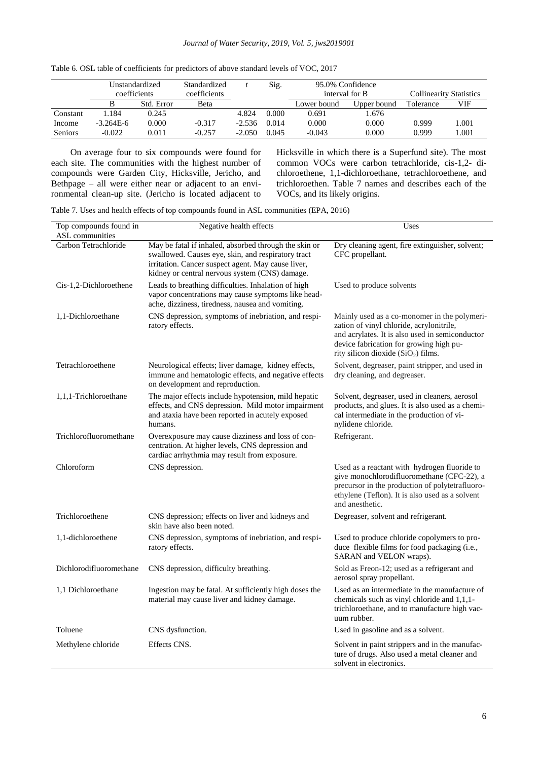#### *Journal of Water Security, 2019, Vol. 5, jws2019001*

|                | Unstandardized |            | Standardized |          | Sig.  | 95.0% Confidence |             |                                |       |
|----------------|----------------|------------|--------------|----------|-------|------------------|-------------|--------------------------------|-------|
|                | coefficients   |            | coefficients |          |       | interval for B   |             | <b>Collinearity Statistics</b> |       |
|                |                | Std. Error | Beta         |          |       | Lower bound      | Upper bound | Tolerance                      | VIF   |
| Constant       | 1.184          | 0.245      |              | 4.824    | 0.000 | 0.691            | .676        |                                |       |
| Income         | $-3.264E-6$    | 0.000      | $-0.317$     | $-2.536$ | 0.014 | 0.000            | 0.000       | 0.999                          | l.001 |
| <b>Seniors</b> | $-0.022$       | 0.011      | $-0.257$     | $-2.050$ | 0.045 | $-0.043$         | 0.000       | 0.999                          | .001  |

| Table 6. OSL table of coefficients for predictors of above standard levels of VOC, 2017 |  |  |
|-----------------------------------------------------------------------------------------|--|--|
|-----------------------------------------------------------------------------------------|--|--|

On average four to six compounds were found for each site. The communities with the highest number of compounds were Garden City, Hicksville, Jericho, and Bethpage – all were either near or adjacent to an environmental clean-up site. (Jericho is located adjacent to Hicksville in which there is a Superfund site). The most common VOCs were carbon tetrachloride, cis-1,2- dichloroethene, 1,1-dichloroethane, tetrachloroethene, and trichloroethen. Table 7 names and describes each of the VOCs, and its likely origins.

Table 7. Uses and health effects of top compounds found in ASL communities (EPA, 2016)

| Top compounds found in  | Negative health effects                                                                                                                                                                                             | Uses                                                                                                                                                                                                                                      |
|-------------------------|---------------------------------------------------------------------------------------------------------------------------------------------------------------------------------------------------------------------|-------------------------------------------------------------------------------------------------------------------------------------------------------------------------------------------------------------------------------------------|
| ASL communities         |                                                                                                                                                                                                                     |                                                                                                                                                                                                                                           |
| Carbon Tetrachloride    | May be fatal if inhaled, absorbed through the skin or<br>swallowed. Causes eye, skin, and respiratory tract<br>irritation. Cancer suspect agent. May cause liver,<br>kidney or central nervous system (CNS) damage. | Dry cleaning agent, fire extinguisher, solvent;<br>CFC propellant.                                                                                                                                                                        |
| Cis-1,2-Dichloroethene  | Leads to breathing difficulties. Inhalation of high<br>vapor concentrations may cause symptoms like head-<br>ache, dizziness, tiredness, nausea and vomiting.                                                       | Used to produce solvents                                                                                                                                                                                                                  |
| 1,1-Dichloroethane      | CNS depression, symptoms of inebriation, and respi-<br>ratory effects.                                                                                                                                              | Mainly used as a co-monomer in the polymeri-<br>zation of vinyl chloride, acrylonitrile,<br>and acrylates. It is also used in semiconductor<br>device fabrication for growing high pu-<br>rity silicon dioxide (SiO <sub>2</sub> ) films. |
| Tetrachloroethene       | Neurological effects; liver damage, kidney effects,<br>immune and hematologic effects, and negative effects<br>on development and reproduction.                                                                     | Solvent, degreaser, paint stripper, and used in<br>dry cleaning, and degreaser.                                                                                                                                                           |
| 1,1,1-Trichloroethane   | The major effects include hypotension, mild hepatic<br>effects, and CNS depression. Mild motor impairment<br>and ataxia have been reported in acutely exposed<br>humans.                                            | Solvent, degreaser, used in cleaners, aerosol<br>products, and glues. It is also used as a chemi-<br>cal intermediate in the production of vi-<br>nylidene chloride.                                                                      |
| Trichlorofluoromethane  | Overexposure may cause dizziness and loss of con-<br>centration. At higher levels, CNS depression and<br>cardiac arrhythmia may result from exposure.                                                               | Refrigerant.                                                                                                                                                                                                                              |
| Chloroform              | CNS depression.                                                                                                                                                                                                     | Used as a reactant with hydrogen fluoride to<br>give monochlorodifluoromethane (CFC-22), a<br>precursor in the production of polytetrafluoro-<br>ethylene (Teflon). It is also used as a solvent<br>and anesthetic.                       |
| Trichloroethene         | CNS depression; effects on liver and kidneys and<br>skin have also been noted.                                                                                                                                      | Degreaser, solvent and refrigerant.                                                                                                                                                                                                       |
| 1,1-dichloroethene      | CNS depression, symptoms of inebriation, and respi-<br>ratory effects.                                                                                                                                              | Used to produce chloride copolymers to pro-<br>duce flexible films for food packaging (i.e.,<br>SARAN and VELON wraps).                                                                                                                   |
| Dichlorodifluoromethane | CNS depression, difficulty breathing.                                                                                                                                                                               | Sold as Freon-12; used as a refrigerant and<br>aerosol spray propellant.                                                                                                                                                                  |
| 1,1 Dichloroethane      | Ingestion may be fatal. At sufficiently high doses the<br>material may cause liver and kidney damage.                                                                                                               | Used as an intermediate in the manufacture of<br>chemicals such as vinyl chloride and 1,1,1-<br>trichloroethane, and to manufacture high vac-<br>uum rubber.                                                                              |
| Toluene                 | CNS dysfunction.                                                                                                                                                                                                    | Used in gasoline and as a solvent.                                                                                                                                                                                                        |
| Methylene chloride      | Effects CNS.                                                                                                                                                                                                        | Solvent in paint strippers and in the manufac-<br>ture of drugs. Also used a metal cleaner and<br>solvent in electronics.                                                                                                                 |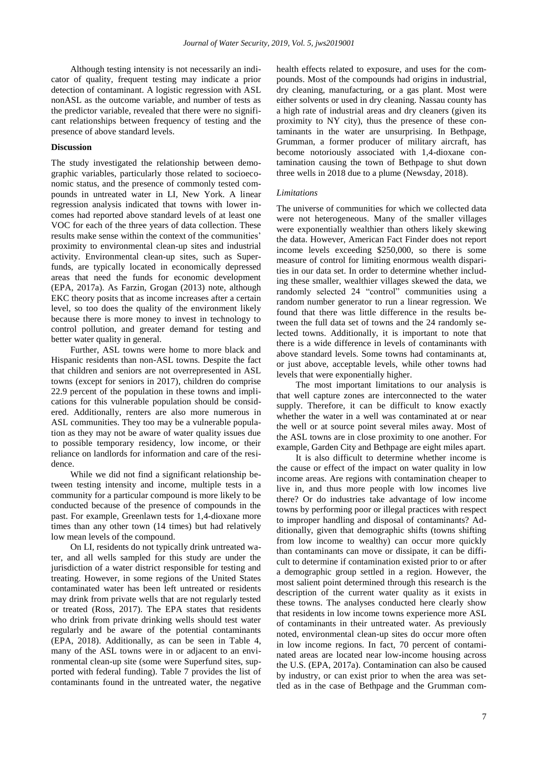Although testing intensity is not necessarily an indicator of quality, frequent testing may indicate a prior detection of contaminant. A logistic regression with ASL nonASL as the outcome variable, and number of tests as the predictor variable, revealed that there were no significant relationships between frequency of testing and the presence of above standard levels.

#### **Discussion**

The study investigated the relationship between demographic variables, particularly those related to socioeconomic status, and the presence of commonly tested compounds in untreated water in LI, New York. A linear regression analysis indicated that towns with lower incomes had reported above standard levels of at least one VOC for each of the three years of data collection. These results make sense within the context of the communities' proximity to environmental clean-up sites and industrial activity. Environmental clean-up sites, such as Superfunds, are typically located in economically depressed areas that need the funds for economic development (EPA, 2017a). As Farzin, Grogan (2013) note, although EKC theory posits that as income increases after a certain level, so too does the quality of the environment likely because there is more money to invest in technology to control pollution, and greater demand for testing and better water quality in general.

Further, ASL towns were home to more black and Hispanic residents than non-ASL towns. Despite the fact that children and seniors are not overrepresented in ASL towns (except for seniors in 2017), children do comprise 22.9 percent of the population in these towns and implications for this vulnerable population should be considered. Additionally, renters are also more numerous in ASL communities. They too may be a vulnerable population as they may not be aware of water quality issues due to possible temporary residency, low income, or their reliance on landlords for information and care of the residence.

While we did not find a significant relationship between testing intensity and income, multiple tests in a community for a particular compound is more likely to be conducted because of the presence of compounds in the past. For example, Greenlawn tests for 1,4-dioxane more times than any other town (14 times) but had relatively low mean levels of the compound.

On LI, residents do not typically drink untreated water, and all wells sampled for this study are under the jurisdiction of a water district responsible for testing and treating. However, in some regions of the United States contaminated water has been left untreated or residents may drink from private wells that are not regularly tested or treated (Ross, 2017). The EPA states that residents who drink from private drinking wells should test water regularly and be aware of the potential contaminants (EPA, 2018). Additionally, as can be seen in Table 4, many of the ASL towns were in or adjacent to an environmental clean-up site (some were Superfund sites, supported with federal funding). Table 7 provides the list of contaminants found in the untreated water, the negative

health effects related to exposure, and uses for the compounds. Most of the compounds had origins in industrial, dry cleaning, manufacturing, or a gas plant. Most were either solvents or used in dry cleaning. Nassau county has a high rate of industrial areas and dry cleaners (given its proximity to NY city), thus the presence of these contaminants in the water are unsurprising. In Bethpage, Grumman, a former producer of military aircraft, has become notoriously associated with 1,4-dioxane contamination causing the town of Bethpage to shut down three wells in 2018 due to a plume (Newsday, 2018).

#### *Limitations*

The universe of communities for which we collected data were not heterogeneous. Many of the smaller villages were exponentially wealthier than others likely skewing the data. However, American Fact Finder does not report income levels exceeding \$250,000, so there is some measure of control for limiting enormous wealth disparities in our data set. In order to determine whether including these smaller, wealthier villages skewed the data, we randomly selected 24 "control" communities using a random number generator to run a linear regression. We found that there was little difference in the results between the full data set of towns and the 24 randomly selected towns. Additionally, it is important to note that there is a wide difference in levels of contaminants with above standard levels. Some towns had contaminants at, or just above, acceptable levels, while other towns had levels that were exponentially higher.

The most important limitations to our analysis is that well capture zones are interconnected to the water supply. Therefore, it can be difficult to know exactly whether the water in a well was contaminated at or near the well or at source point several miles away. Most of the ASL towns are in close proximity to one another. For example, Garden City and Bethpage are eight miles apart.

It is also difficult to determine whether income is the cause or effect of the impact on water quality in low income areas. Are regions with contamination cheaper to live in, and thus more people with low incomes live there? Or do industries take advantage of low income towns by performing poor or illegal practices with respect to improper handling and disposal of contaminants? Additionally, given that demographic shifts (towns shifting from low income to wealthy) can occur more quickly than contaminants can move or dissipate, it can be difficult to determine if contamination existed prior to or after a demographic group settled in a region. However, the most salient point determined through this research is the description of the current water quality as it exists in these towns. The analyses conducted here clearly show that residents in low income towns experience more ASL of contaminants in their untreated water. As previously noted, environmental clean-up sites do occur more often in low income regions. In fact, 70 percent of contaminated areas are located near low-income housing across the U.S. (EPA, 2017a). Contamination can also be caused by industry, or can exist prior to when the area was settled as in the case of Bethpage and the Grumman com-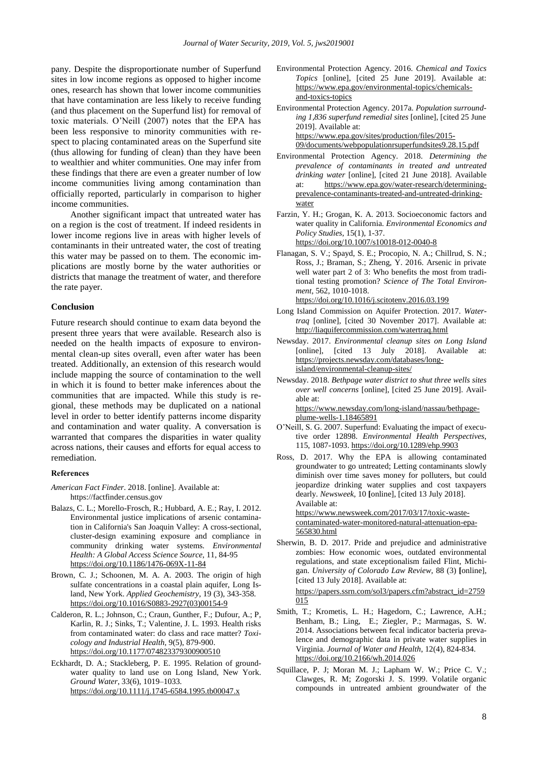pany. Despite the disproportionate number of Superfund sites in low income regions as opposed to higher income ones, research has shown that lower income communities that have contamination are less likely to receive funding (and thus placement on the Superfund list) for removal of toxic materials. O'Neill (2007) notes that the EPA has been less responsive to minority communities with respect to placing contaminated areas on the Superfund site (thus allowing for funding of clean) than they have been to wealthier and whiter communities. One may infer from these findings that there are even a greater number of low income communities living among contamination than officially reported, particularly in comparison to higher income communities.

Another significant impact that untreated water has on a region is the cost of treatment. If indeed residents in lower income regions live in areas with higher levels of contaminants in their untreated water, the cost of treating this water may be passed on to them. The economic implications are mostly borne by the water authorities or districts that manage the treatment of water, and therefore the rate payer.

#### **Conclusion**

Future research should continue to exam data beyond the present three years that were available. Research also is needed on the health impacts of exposure to environmental clean-up sites overall, even after water has been treated. Additionally, an extension of this research would include mapping the source of contamination to the well in which it is found to better make inferences about the communities that are impacted. While this study is regional, these methods may be duplicated on a national level in order to better identify patterns income disparity and contamination and water quality. A conversation is warranted that compares the disparities in water quality across nations, their causes and efforts for equal access to remediation.

#### **References**

- *American Fact Finder*. 2018. [online]. Available at: https://factfinder.census.gov
- Balazs, C. L.; Morello-Frosch, R.; Hubbard, A. E.; Ray, I. 2012. Environmental justice implications of arsenic contamination in California's San Joaquin Valley: A cross-sectional, cluster-design examining exposure and compliance in community drinking water systems. *Environmental Health: A Global Access Science Source,* 11, 84-95 <https://doi.org/10.1186/1476-069X-11-84>
- Brown, C. J.; Schoonen, M. A. A. 2003. The origin of high sulfate concentrations in a coastal plain aquifer, Long Island, New York. *Applied Geochemistry*, 19 (3), 343-358. [https://doi.org/10.1016/S0883-2927\(03\)00154-9](https://doi.org/10.1016/S0883-2927(03)00154-9)
- Calderon, R. L.; Johnson, C.; Craun, Gunther, F.; Dufour, A.; P, Karlin, R. J.; Sinks, T.; Valentine, J. L. 1993. Health risks from contaminated water: do class and race matter? *Toxicology and Industrial Health*, 9(5), 879-900. <https://doi.org/10.1177/074823379300900510>
- Eckhardt, D. A.; Stackleberg, P. E. 1995. Relation of groundwater quality to land use on Long Island, New York. *Ground Water*, 33(6), 1019–1033. <https://doi.org/10.1111/j.1745-6584.1995.tb00047.x>

Environmental Protection Agency. 2016. *Chemical and Toxics Topics* [online], [cited 25 June 2019]. Available at: https://www.epa.gov/environmental-topics/chemicalsand-toxics-topics

Environmental Protection Agency. 2017a. *Population surrounding 1,836 superfund remedial sites* [online], [cited 25 June 2019]. Available at: [https://www.epa.gov/sites/production/files/2015-](https://www.epa.gov/sites/production/files/2015-09/documents/webpopulationrsuperfundsites9.28.15.pdf) [09/documents/webpopulationrsuperfundsites9.28.15.pdf](https://www.epa.gov/sites/production/files/2015-09/documents/webpopulationrsuperfundsites9.28.15.pdf)

- Environmental Protection Agency. 2018. *Determining the prevalence of contaminants in treated and untreated drinking water* [online], [cited 21 June 2018]. Available at: [https://www.epa.gov/water-research/determining](https://www.epa.gov/water-research/determining-prevalence-contaminants-treated-and-)[prevalence-contaminants-treated-and-u](https://www.epa.gov/water-research/determining-prevalence-contaminants-treated-and-)ntreated-drinkingwater
- Farzin, Y. H.; Grogan, K. A. 2013. Socioeconomic factors and water quality in California. *Environmental Economics and Policy Studies*, 15(1), 1-37. <https://doi.org/10.1007/s10018-012-0040-8>
- Flanagan, S. V.; Spayd, S. E.; Procopio, N. A.; Chillrud, S. N.; Ross, J.; Braman, S.; Zheng, Y. 2016. Arsenic in private well water part 2 of 3: Who benefits the most from traditional testing promotion? *Science of The Total Environment*, 562, 1010-1018. <https://doi.org/10.1016/j.scitotenv.2016.03.199>
- Long Island Commission on Aquifer Protection. 2017. *Watertraq* [online], [cited 30 November 2017]. Available at: <http://liaquifercommission.com/watertraq.html>
- Newsday. 2017. *Environmental cleanup sites on Long Island* [online], [cited 13 July 2018]. Available at: [https://projects.newsday.com/databases/long](https://projects.newsday.com/databases/long-island/environmental-cleanup-sites/)[island/environmental-cleanup-sites/](https://projects.newsday.com/databases/long-island/environmental-cleanup-sites/)
- Newsday. 2018. *Bethpage water district to shut three wells sites over well concerns* [online], [cited 25 June 2019]. Available at: [https://www.newsday.com/long-island/nassau/bethpage-](https://www.newsday.com/long-island/nassau/bethpage-plume-wells-1.18465891)

[plume-wells-1.18465891](https://www.newsday.com/long-island/nassau/bethpage-plume-wells-1.18465891)

- O'Neill, S. G. 2007. Superfund: Evaluating the impact of executive order 12898. *Environmental Health Perspectives,* 115, 1087-1093. <https://doi.org/10.1289/ehp.9903>
- Ross, D. 2017. Why the EPA is allowing contaminated groundwater to go untreated; Letting contaminants slowly diminish over time saves money for polluters, but could jeopardize drinking water supplies and cost taxpayers dearly. *Newsweek,* 10 **[**online], [cited 13 July 2018]. Available at: https://www.newsweek.com/2017/03/17/toxic-waste-

contaminated-water-monitored-natural-attenuation-epa-565830.html

Sherwin, B. D. 2017. Pride and prejudice and administrative zombies: How economic woes, outdated environmental regulations, and state exceptionalism failed Flint, Michigan. *University of Colorado Law Review,* 88 (3) **[**online], [cited 13 July 2018]. Available at:

https://papers.ssrn.com/sol3/papers.cfm?abstract\_id=2759 015

- Smith, T.; Krometis, L. H.; Hagedorn, C.; Lawrence, A.H.; Benham, B.; Ling, E.; Ziegler, P.; Marmagas, S. W. 2014. Associations between fecal indicator bacteria prevalence and demographic data in private water supplies in Virginia. *Journal of Water and Health*, 12(4), 824-834. <https://doi.org/10.2166/wh.2014.026>
- Squillace, P. J; Moran M. J.; Lapham W. W.; Price C. V.; Clawges, R. M; Zogorski J. S. 1999. Volatile organic compounds in untreated ambient groundwater of the